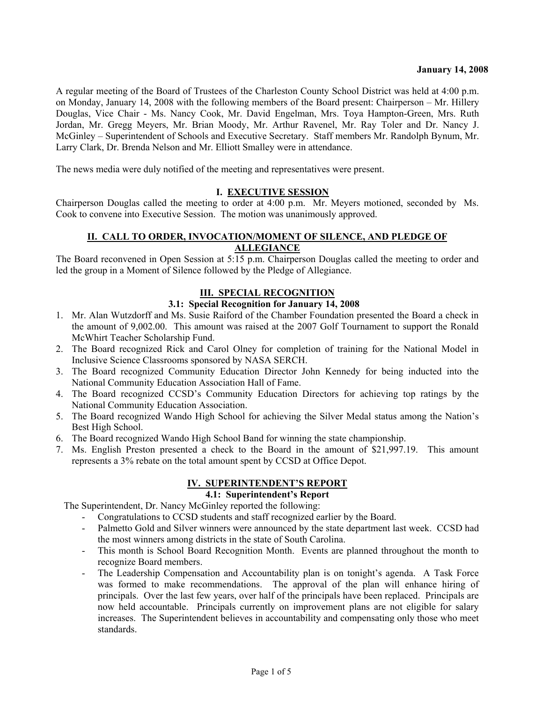A regular meeting of the Board of Trustees of the Charleston County School District was held at 4:00 p.m. on Monday, January 14, 2008 with the following members of the Board present: Chairperson – Mr. Hillery Douglas, Vice Chair - Ms. Nancy Cook, Mr. David Engelman, Mrs. Toya Hampton-Green, Mrs. Ruth Jordan, Mr. Gregg Meyers, Mr. Brian Moody, Mr. Arthur Ravenel, Mr. Ray Toler and Dr. Nancy J. McGinley – Superintendent of Schools and Executive Secretary. Staff members Mr. Randolph Bynum, Mr. Larry Clark, Dr. Brenda Nelson and Mr. Elliott Smalley were in attendance.

The news media were duly notified of the meeting and representatives were present.

## **I. EXECUTIVE SESSION**

Chairperson Douglas called the meeting to order at 4:00 p.m. Mr. Meyers motioned, seconded by Ms. Cook to convene into Executive Session. The motion was unanimously approved.

## **II. CALL TO ORDER, INVOCATION/MOMENT OF SILENCE, AND PLEDGE OF ALLEGIANCE**

The Board reconvened in Open Session at 5:15 p.m. Chairperson Douglas called the meeting to order and led the group in a Moment of Silence followed by the Pledge of Allegiance.

# **III. SPECIAL RECOGNITION**

### **3.1: Special Recognition for January 14, 2008**

- 1. Mr. Alan Wutzdorff and Ms. Susie Raiford of the Chamber Foundation presented the Board a check in the amount of 9,002.00. This amount was raised at the 2007 Golf Tournament to support the Ronald McWhirt Teacher Scholarship Fund.
- 2. The Board recognized Rick and Carol Olney for completion of training for the National Model in Inclusive Science Classrooms sponsored by NASA SERCH.
- 3. The Board recognized Community Education Director John Kennedy for being inducted into the National Community Education Association Hall of Fame.
- 4. The Board recognized CCSD's Community Education Directors for achieving top ratings by the National Community Education Association.
- 5. The Board recognized Wando High School for achieving the Silver Medal status among the Nation's Best High School.
- 6. The Board recognized Wando High School Band for winning the state championship.
- 7. Ms. English Preston presented a check to the Board in the amount of \$21,997.19. This amount represents a 3% rebate on the total amount spent by CCSD at Office Depot.

# **IV. SUPERINTENDENT'S REPORT**

# **4.1: Superintendent's Report**

The Superintendent, Dr. Nancy McGinley reported the following:

- Congratulations to CCSD students and staff recognized earlier by the Board.
- Palmetto Gold and Silver winners were announced by the state department last week. CCSD had the most winners among districts in the state of South Carolina.
- This month is School Board Recognition Month. Events are planned throughout the month to recognize Board members.
- The Leadership Compensation and Accountability plan is on tonight's agenda. A Task Force was formed to make recommendations. The approval of the plan will enhance hiring of principals. Over the last few years, over half of the principals have been replaced. Principals are now held accountable. Principals currently on improvement plans are not eligible for salary increases. The Superintendent believes in accountability and compensating only those who meet standards.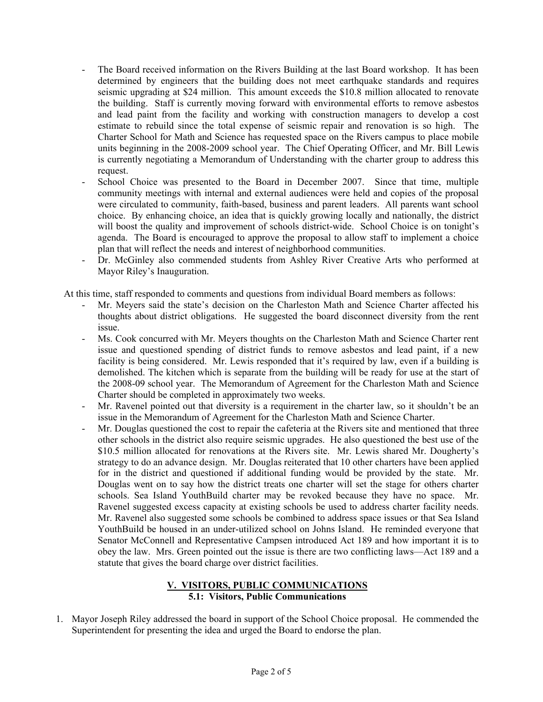- The Board received information on the Rivers Building at the last Board workshop. It has been determined by engineers that the building does not meet earthquake standards and requires seismic upgrading at \$24 million. This amount exceeds the \$10.8 million allocated to renovate the building. Staff is currently moving forward with environmental efforts to remove asbestos and lead paint from the facility and working with construction managers to develop a cost estimate to rebuild since the total expense of seismic repair and renovation is so high. The Charter School for Math and Science has requested space on the Rivers campus to place mobile units beginning in the 2008-2009 school year. The Chief Operating Officer, and Mr. Bill Lewis is currently negotiating a Memorandum of Understanding with the charter group to address this request.
- School Choice was presented to the Board in December 2007. Since that time, multiple community meetings with internal and external audiences were held and copies of the proposal were circulated to community, faith-based, business and parent leaders. All parents want school choice. By enhancing choice, an idea that is quickly growing locally and nationally, the district will boost the quality and improvement of schools district-wide. School Choice is on tonight's agenda. The Board is encouraged to approve the proposal to allow staff to implement a choice plan that will reflect the needs and interest of neighborhood communities.
- Dr. McGinley also commended students from Ashley River Creative Arts who performed at Mayor Riley's Inauguration.

At this time, staff responded to comments and questions from individual Board members as follows:

- Mr. Meyers said the state's decision on the Charleston Math and Science Charter affected his thoughts about district obligations. He suggested the board disconnect diversity from the rent issue.
- Ms. Cook concurred with Mr. Meyers thoughts on the Charleston Math and Science Charter rent issue and questioned spending of district funds to remove asbestos and lead paint, if a new facility is being considered. Mr. Lewis responded that it's required by law, even if a building is demolished. The kitchen which is separate from the building will be ready for use at the start of the 2008-09 school year. The Memorandum of Agreement for the Charleston Math and Science Charter should be completed in approximately two weeks.
- Mr. Ravenel pointed out that diversity is a requirement in the charter law, so it shouldn't be an issue in the Memorandum of Agreement for the Charleston Math and Science Charter.
- Mr. Douglas questioned the cost to repair the cafeteria at the Rivers site and mentioned that three other schools in the district also require seismic upgrades. He also questioned the best use of the \$10.5 million allocated for renovations at the Rivers site. Mr. Lewis shared Mr. Dougherty's strategy to do an advance design. Mr. Douglas reiterated that 10 other charters have been applied for in the district and questioned if additional funding would be provided by the state. Mr. Douglas went on to say how the district treats one charter will set the stage for others charter schools. Sea Island YouthBuild charter may be revoked because they have no space. Mr. Ravenel suggested excess capacity at existing schools be used to address charter facility needs. Mr. Ravenel also suggested some schools be combined to address space issues or that Sea Island YouthBuild be housed in an under-utilized school on Johns Island. He reminded everyone that Senator McConnell and Representative Campsen introduced Act 189 and how important it is to obey the law. Mrs. Green pointed out the issue is there are two conflicting laws—Act 189 and a statute that gives the board charge over district facilities.

# **V. VISITORS, PUBLIC COMMUNICATIONS 5.1: Visitors, Public Communications**

1. Mayor Joseph Riley addressed the board in support of the School Choice proposal. He commended the Superintendent for presenting the idea and urged the Board to endorse the plan.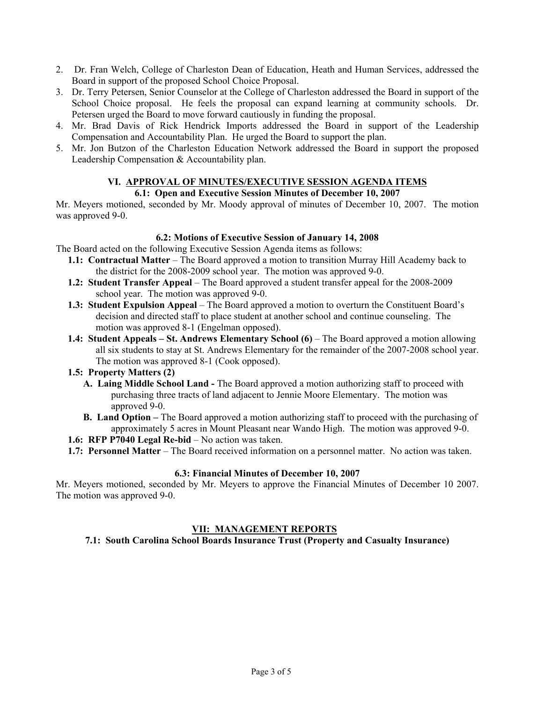- 2. Dr. Fran Welch, College of Charleston Dean of Education, Heath and Human Services, addressed the Board in support of the proposed School Choice Proposal.
- 3. Dr. Terry Petersen, Senior Counselor at the College of Charleston addressed the Board in support of the School Choice proposal. He feels the proposal can expand learning at community schools. Dr. Petersen urged the Board to move forward cautiously in funding the proposal.
- 4. Mr. Brad Davis of Rick Hendrick Imports addressed the Board in support of the Leadership Compensation and Accountability Plan. He urged the Board to support the plan.
- 5. Mr. Jon Butzon of the Charleston Education Network addressed the Board in support the proposed Leadership Compensation & Accountability plan.

#### **VI. APPROVAL OF MINUTES/EXECUTIVE SESSION AGENDA ITEMS 6.1: Open and Executive Session Minutes of December 10, 2007**

Mr. Meyers motioned, seconded by Mr. Moody approval of minutes of December 10, 2007. The motion was approved 9-0.

# **6.2: Motions of Executive Session of January 14, 2008**

The Board acted on the following Executive Session Agenda items as follows:

- **1.1: Contractual Matter** The Board approved a motion to transition Murray Hill Academy back to the district for the 2008-2009 school year. The motion was approved 9-0.
- **1.2: Student Transfer Appeal** The Board approved a student transfer appeal for the 2008-2009 school year. The motion was approved 9-0.
- **1.3: Student Expulsion Appeal** The Board approved a motion to overturn the Constituent Board's decision and directed staff to place student at another school and continue counseling. The motion was approved 8-1 (Engelman opposed).
- **1.4: Student Appeals St. Andrews Elementary School (6)** The Board approved a motion allowing all six students to stay at St. Andrews Elementary for the remainder of the 2007-2008 school year. The motion was approved 8-1 (Cook opposed).

### **1.5: Property Matters (2)**

- **A. Laing Middle School Land** The Board approved a motion authorizing staff to proceed with purchasing three tracts of land adjacent to Jennie Moore Elementary. The motion was approved 9-0.
- **B. Land Option** The Board approved a motion authorizing staff to proceed with the purchasing of approximately 5 acres in Mount Pleasant near Wando High. The motion was approved 9-0.
- **1.6: RFP P7040 Legal Re-bid** No action was taken.
- **1.7: Personnel Matter** The Board received information on a personnel matter. No action was taken.

### **6.3: Financial Minutes of December 10, 2007**

Mr. Meyers motioned, seconded by Mr. Meyers to approve the Financial Minutes of December 10 2007. The motion was approved 9-0.

# **VII: MANAGEMENT REPORTS**

**7.1: South Carolina School Boards Insurance Trust (Property and Casualty Insurance)**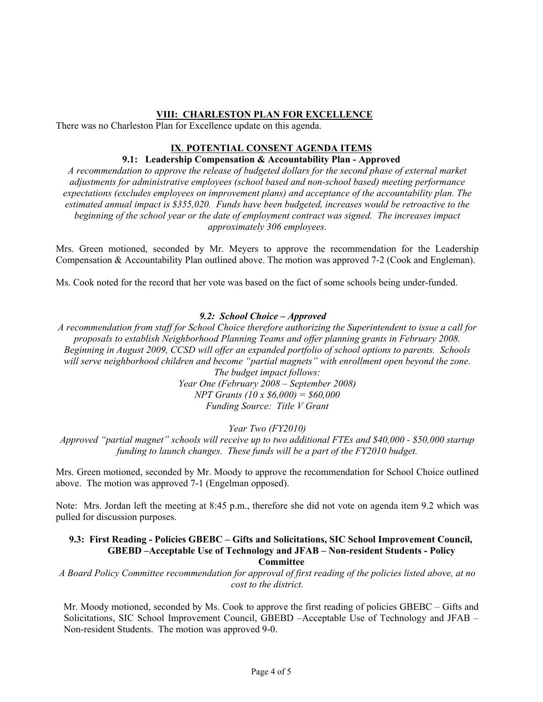## **VIII: CHARLESTON PLAN FOR EXCELLENCE**

There was no Charleston Plan for Excellence update on this agenda.

# **IX**. **POTENTIAL CONSENT AGENDA ITEMS**

# **9.1: Leadership Compensation & Accountability Plan - Approved**

*A recommendation to approve the release of budgeted dollars for the second phase of external market adjustments for administrative employees (school based and non-school based) meeting performance expectations (excludes employees on improvement plans) and acceptance of the accountability plan. The estimated annual impact is \$355,020. Funds have been budgeted, increases would be retroactive to the beginning of the school year or the date of employment contract was signed. The increases impact approximately 306 employees.* 

Mrs. Green motioned, seconded by Mr. Meyers to approve the recommendation for the Leadership Compensation & Accountability Plan outlined above. The motion was approved 7-2 (Cook and Engleman).

Ms. Cook noted for the record that her vote was based on the fact of some schools being under-funded.

### *9.2: School Choice – Approved*

*A recommendation from staff for School Choice therefore authorizing the Superintendent to issue a call for proposals to establish Neighborhood Planning Teams and offer planning grants in February 2008. Beginning in August 2009, CCSD will offer an expanded portfolio of school options to parents. Schools*  will serve neighborhood children and become "partial magnets" with enrollment open beyond the zone. *The budget impact follows:* 

*Year One (February 2008 – September 2008) NPT Grants (10 x \$6,000) = \$60,000 Funding Source: Title V Grant* 

*Year Two (FY2010)* 

*Approved "partial magnet" schools will receive up to two additional FTEs and \$40,000 - \$50,000 startup funding to launch changes. These funds will be a part of the FY2010 budget.* 

Mrs. Green motioned, seconded by Mr. Moody to approve the recommendation for School Choice outlined above. The motion was approved 7-1 (Engelman opposed).

Note: Mrs. Jordan left the meeting at 8:45 p.m., therefore she did not vote on agenda item 9.2 which was pulled for discussion purposes.

#### **9.3: First Reading - Policies GBEBC – Gifts and Solicitations, SIC School Improvement Council, GBEBD –Acceptable Use of Technology and JFAB – Non-resident Students - Policy Committee**

*A Board Policy Committee recommendation for approval of first reading of the policies listed above, at no cost to the district.* 

Mr. Moody motioned, seconded by Ms. Cook to approve the first reading of policies GBEBC – Gifts and Solicitations, SIC School Improvement Council, GBEBD –Acceptable Use of Technology and JFAB – Non-resident Students. The motion was approved 9-0.